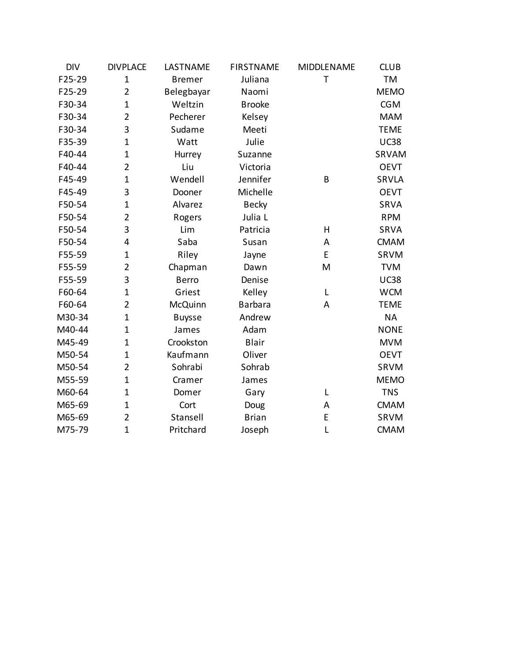| <b>DIV</b> | <b>DIVPLACE</b> | LASTNAME      | <b>FIRSTNAME</b> | MIDDLENAME   | <b>CLUB</b>  |
|------------|-----------------|---------------|------------------|--------------|--------------|
| F25-29     | $\mathbf{1}$    | <b>Bremer</b> | Juliana          | $\mathsf{T}$ | <b>TM</b>    |
| F25-29     | $\overline{2}$  | Belegbayar    | Naomi            |              | <b>MEMO</b>  |
| F30-34     | $\mathbf{1}$    | Weltzin       | <b>Brooke</b>    |              | <b>CGM</b>   |
| F30-34     | $\overline{2}$  | Pecherer      | Kelsey           |              | <b>MAM</b>   |
| F30-34     | 3               | Sudame        | Meeti            |              | <b>TEME</b>  |
| F35-39     | $\mathbf 1$     | Watt          | Julie            |              | <b>UC38</b>  |
| F40-44     | $\mathbf{1}$    | Hurrey        | Suzanne          |              | SRVAM        |
| F40-44     | $\overline{2}$  | Liu           | Victoria         |              | <b>OEVT</b>  |
| F45-49     | $\mathbf{1}$    | Wendell       | Jennifer         | B            | <b>SRVLA</b> |
| F45-49     | 3               | Dooner        | Michelle         |              | <b>OEVT</b>  |
| F50-54     | $\mathbf{1}$    | Alvarez       | <b>Becky</b>     |              | <b>SRVA</b>  |
| F50-54     | $\overline{2}$  | Rogers        | Julia L          |              | <b>RPM</b>   |
| F50-54     | 3               | Lim           | Patricia         | $\mathsf{H}$ | SRVA         |
| F50-54     | 4               | Saba          | Susan            | A            | <b>CMAM</b>  |
| F55-59     | $\mathbf{1}$    | Riley         | Jayne            | E            | SRVM         |
| F55-59     | $\overline{2}$  | Chapman       | Dawn             | M            | <b>TVM</b>   |
| F55-59     | 3               | <b>Berro</b>  | Denise           |              | <b>UC38</b>  |
| F60-64     | $\mathbf{1}$    | Griest        | Kelley           | L            | <b>WCM</b>   |
| F60-64     | $\overline{2}$  | McQuinn       | <b>Barbara</b>   | A            | <b>TEME</b>  |
| M30-34     | $\mathbf{1}$    | <b>Buysse</b> | Andrew           |              | <b>NA</b>    |
| M40-44     | $\mathbf{1}$    | James         | Adam             |              | <b>NONE</b>  |
| M45-49     | $\mathbf{1}$    | Crookston     | <b>Blair</b>     |              | <b>MVM</b>   |
| M50-54     | $\mathbf{1}$    | Kaufmann      | Oliver           |              | <b>OEVT</b>  |
| M50-54     | $\overline{2}$  | Sohrabi       | Sohrab           |              | SRVM         |
| M55-59     | $\mathbf{1}$    | Cramer        | James            |              | <b>MEMO</b>  |
| M60-64     | $\mathbf 1$     | Domer         | Gary             | L            | <b>TNS</b>   |
| M65-69     | $\mathbf{1}$    | Cort          | Doug             | A            | <b>CMAM</b>  |
| M65-69     | $\overline{2}$  | Stansell      | <b>Brian</b>     | E            | SRVM         |
| M75-79     | $\mathbf{1}$    | Pritchard     | Joseph           | L            | <b>CMAM</b>  |